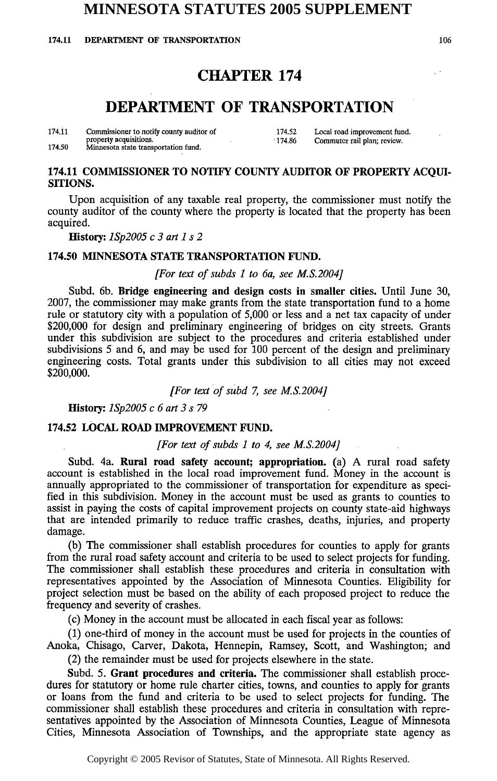## **MINNESOTA STATUTES 2005 SUPPLEMENT**

1**74.11 DEPARTMENT OF TRANSPORTATION** 106

### **CHAPTER 174**

# **DEPARTMENT OF TRANSPORTATION**

| 174.11 | Commissioner to notify county auditor of                       | 174.52 | Local road improvement fund. |
|--------|----------------------------------------------------------------|--------|------------------------------|
| 174.50 | property acquisitions.<br>Minnesota state transportation fund. | 174.86 | Commuter rail plan; review.  |

#### 174.11 COMMISSIONER TO NOTIFY COUNTY AUDITOR OF PROPERTY ACQUI-SITIONS.

Upon acquisition of any taxable real property, the commissioner must notify the county auditor of the county where the property is located that the property has been acquired.

#### **History:** *1Sp2005 c 3 art 1 s 2*

### 174.50 MINNESOTA STATE TRANSPORTATION FUND.

#### *[For text of subds 1 to 6a, see M.S.2004]*

Subd. 6b. Bridge engineering and design costs in smaller cities. Until June 30, 2007, the commissioner may make grants from the state transportation fund to a home rule or statutory city with a population of 5,000 or less and a net tax capacity of under \$200,000 for design and preliminary engineering of bridges on city streets. Grants under this subdivision are subject to the procedures and criteria established under subdivisions 5 and 6, and may be used for 100 percent of the design and preliminary engineering costs. Total grants under this subdivision to all cities may not exceed \$**200**,**000**.

*[For text of subd 7, see M.S.2004]* 

History: *lSp2005 c 6 art 3 s 79*

### 174.52 LOCAL ROAD IMPROVEMENT FUND.

### *[For text of subds 1 to 4, see M.S.2004]*

Subd. 4a. Rural road safety account; appropriation, (a) A rural road safety account is established in the local road improvement fund. Money in the account is annually appropriated to the commissioner of transportation for expenditure as specified in this subdivision. Money in the account must be used as grants to counties to assist in paying the costs of capital improvement projects on county state-aid highways that are intended primarily to reduce traffic crashes, deaths, injuries, and property damage.

(b) The commissioner shall establish procedures for counties to apply for grants from the rural road safety account and criteria to be used to select projects for funding. The commissioner shall establish these procedures and criteria in consultation with representatives appointed by the Association of Minnesota Counties. Eligibility for project selection must be based on the ability of each proposed project to reduce the frequency and severity of crashes.

(c) Money in the account must be allocated in each fiscal year as follows:

(1) one-third of money in the account must be used for projects in the counties of Anoka, Chisago, Carver, Dakota, Hennepin, Ramsey, Scott, and Washington; and

(2) the remainder must be used for projects elsewhere in the state.

Subd. 5. Grant procedures and criteria. The commissioner shall establish procedures for statutory or home rule charter cities, towns, and counties to apply for grants or loans from the fund and criteria to be used to select projects for funding. The commissioner shall establish these procedures and criteria in consultation with representatives appointed by the Association of Minnesota Counties, League of Minnesota Cities, Minnesota Association of Townships, and the appropriate state agency as